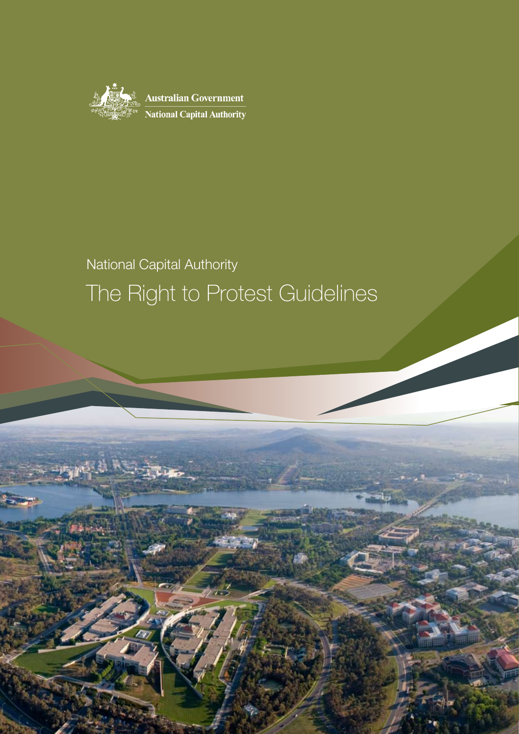

# The Right to Protest Guidelines National Capital Authority

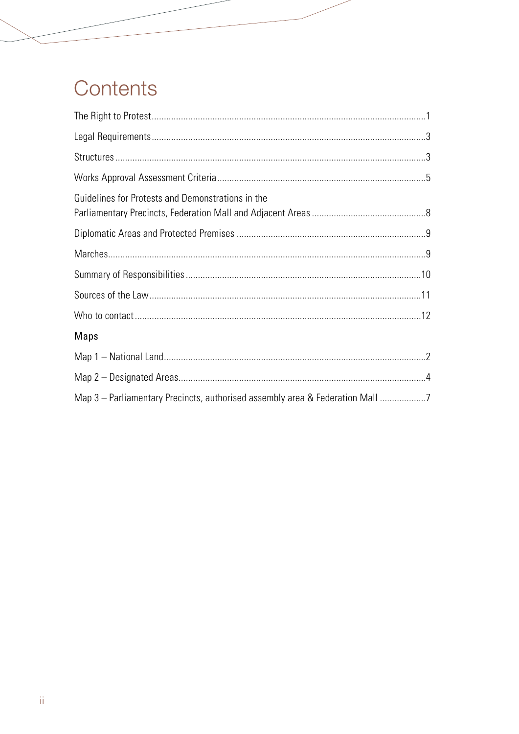# Contents

| Guidelines for Protests and Demonstrations in the                             |  |
|-------------------------------------------------------------------------------|--|
|                                                                               |  |
|                                                                               |  |
|                                                                               |  |
|                                                                               |  |
|                                                                               |  |
| Maps                                                                          |  |
|                                                                               |  |
|                                                                               |  |
| Map 3 – Parliamentary Precincts, authorised assembly area & Federation Mall 7 |  |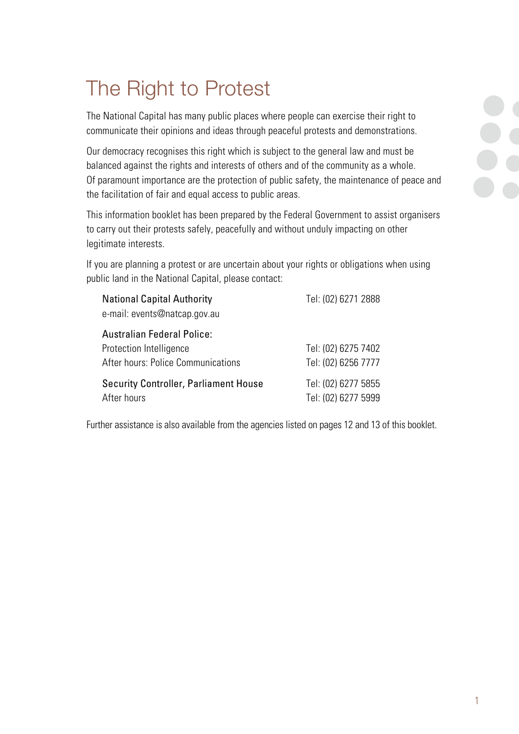# The Right to Protest

The National Capital has many public places where people can exercise their right to communicate their opinions and ideas through peaceful protests and demonstrations.

Our democracy recognises this right which is subject to the general law and must be balanced against the rights and interests of others and of the community as a whole. Of paramount importance are the protection of public safety, the maintenance of peace and the facilitation of fair and equal access to public areas.

This information booklet has been prepared by the Federal Government to assist organisers to carry out their protests safely, peacefully and without unduly impacting on other legitimate interests.

If you are planning a protest or are uncertain about your rights or obligations when using public land in the National Capital, please contact:

| <b>National Capital Authority</b>     | Tel: (02) 6271 2888 |
|---------------------------------------|---------------------|
| e-mail: events@natcap.gov.au          |                     |
| <b>Australian Federal Police:</b>     |                     |
| Protection Intelligence               | Tel: (02) 6275 7402 |
| After hours: Police Communications    | Tel: (02) 6256 7777 |
| Security Controller, Parliament House | Tel: (02) 6277 5855 |
| After hours                           | Tel: (02) 6277 5999 |

Further assistance is also available from the agencies listed on pages 12 and 13 of this booklet.

0000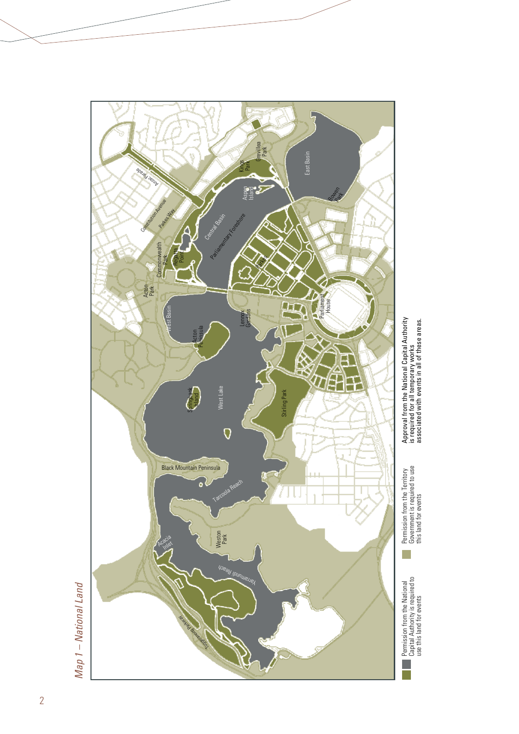

this land for events

use this land for events

associated with events in all of these areas.

Map 1 - National Land *Map 1 – National Land*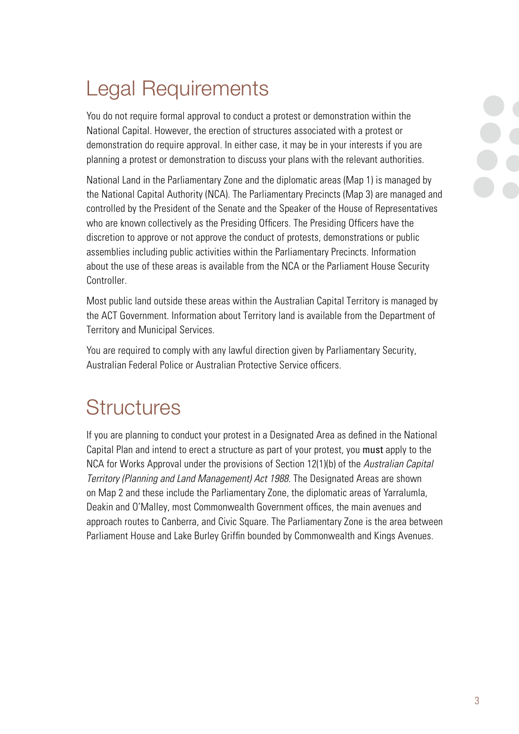# 88

# Legal Requirements

You do not require formal approval to conduct a protest or demonstration within the National Capital. However, the erection of structures associated with a protest or demonstration do require approval. In either case, it may be in your interests if you are planning a protest or demonstration to discuss your plans with the relevant authorities.

National Land in the Parliamentary Zone and the diplomatic areas (Map 1) is managed by the National Capital Authority (NCA). The Parliamentary Precincts (Map 3) are managed and controlled by the President of the Senate and the Speaker of the House of Representatives who are known collectively as the Presiding Officers. The Presiding Officers have the discretion to approve or not approve the conduct of protests, demonstrations or public assemblies including public activities within the Parliamentary Precincts. Information about the use of these areas is available from the NCA or the Parliament House Security Controller.

Most public land outside these areas within the Australian Capital Territory is managed by the ACT Government. Information about Territory land is available from the Department of Territory and Municipal Services.

You are required to comply with any lawful direction given by Parliamentary Security, Australian Federal Police or Australian Protective Service officers.

## **Structures**

If you are planning to conduct your protest in a Designated Area as defined in the National Capital Plan and intend to erect a structure as part of your protest, you must apply to the NCA for Works Approval under the provisions of Section 12(1)(b) of the *Australian Capital Territory (Planning and Land Management) Act 1988*. The Designated Areas are shown on Map 2 and these include the Parliamentary Zone, the diplomatic areas of Yarralumla, Deakin and O'Malley, most Commonwealth Government offices, the main avenues and approach routes to Canberra, and Civic Square. The Parliamentary Zone is the area between Parliament House and Lake Burley Griffin bounded by Commonwealth and Kings Avenues.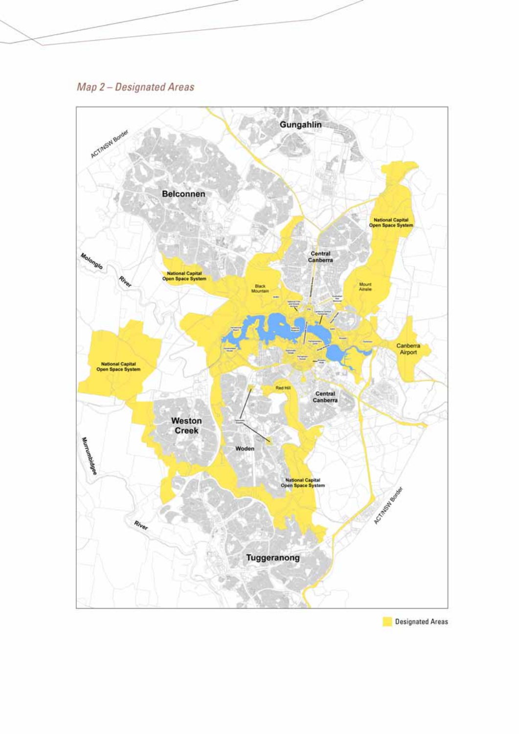



**Designated Areas**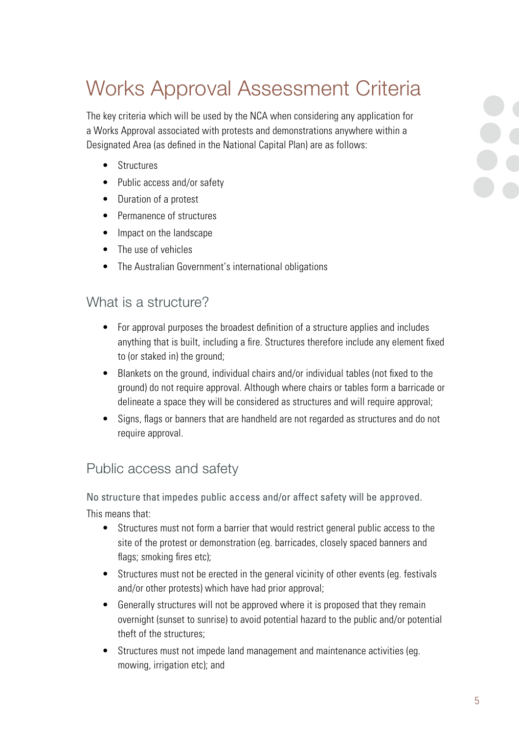# Works Approval Assessment Criteria

The key criteria which will be used by the NCA when considering any application for a Works Approval associated with protests and demonstrations anywhere within a Designated Area (as defined in the National Capital Plan) are as follows:

- • Structures
- Public access and/or safety
- Duration of a protest
- • Permanence of structures
- Impact on the landscape
- The use of vehicles
- The Australian Government's international obligations

### What is a structure?

- For approval purposes the broadest definition of a structure applies and includes anything that is built, including a fire. Structures therefore include any element fixed to (or staked in) the ground;
- Blankets on the ground, individual chairs and/or individual tables (not fixed to the ground) do not require approval. Although where chairs or tables form a barricade or delineate a space they will be considered as structures and will require approval;
- Signs, flags or banners that are handheld are not regarded as structures and do not require approval.

## Public access and safety

No structure that impedes public access and/or affect safety will be approved. This means that:

- Structures must not form a barrier that would restrict general public access to the site of the protest or demonstration (eg. barricades, closely spaced banners and flags; smoking fires etc);
- Structures must not be erected in the general vicinity of other events (eg. festivals and/or other protests) which have had prior approval;
- Generally structures will not be approved where it is proposed that they remain overnight (sunset to sunrise) to avoid potential hazard to the public and/or potential theft of the structures;
- Structures must not impede land management and maintenance activities (eg. mowing, irrigation etc); and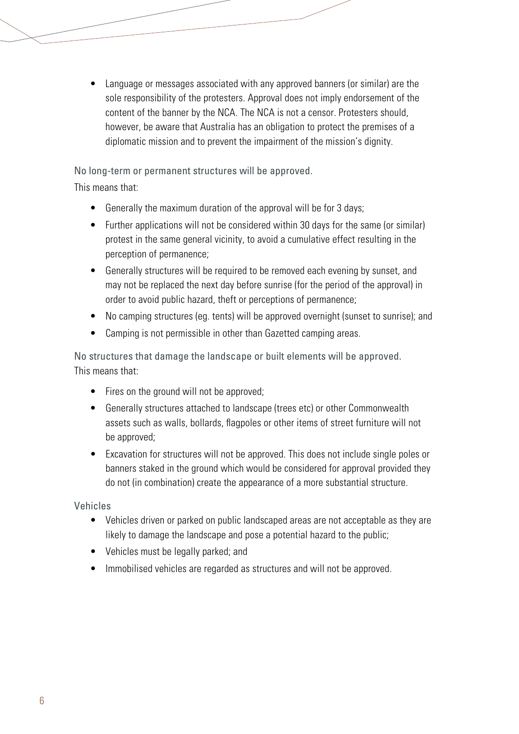Language or messages associated with any approved banners (or similar) are the sole responsibility of the protesters. Approval does not imply endorsement of the content of the banner by the NCA. The NCA is not a censor. Protesters should, however, be aware that Australia has an obligation to protect the premises of a diplomatic mission and to prevent the impairment of the mission's dignity.

No long-term or permanent structures will be approved.

This means that:

- Generally the maximum duration of the approval will be for 3 days;
- Further applications will not be considered within 30 days for the same (or similar) protest in the same general vicinity, to avoid a cumulative effect resulting in the perception of permanence;
- Generally structures will be required to be removed each evening by sunset, and may not be replaced the next day before sunrise (for the period of the approval) in order to avoid public hazard, theft or perceptions of permanence;
- No camping structures (eg. tents) will be approved overnight (sunset to sunrise); and
- Camping is not permissible in other than Gazetted camping areas.

No structures that damage the landscape or built elements will be approved. This means that:

- Fires on the ground will not be approved;
- • Generally structures attached to landscape (trees etc) or other Commonwealth assets such as walls, bollards, flagpoles or other items of street furniture will not be approved;
- Excavation for structures will not be approved. This does not include single poles or banners staked in the ground which would be considered for approval provided they do not (in combination) create the appearance of a more substantial structure.

Vehicles

- Vehicles driven or parked on public landscaped areas are not acceptable as they are likely to damage the landscape and pose a potential hazard to the public;
- • Vehicles must be legally parked; and
- Immobilised vehicles are regarded as structures and will not be approved.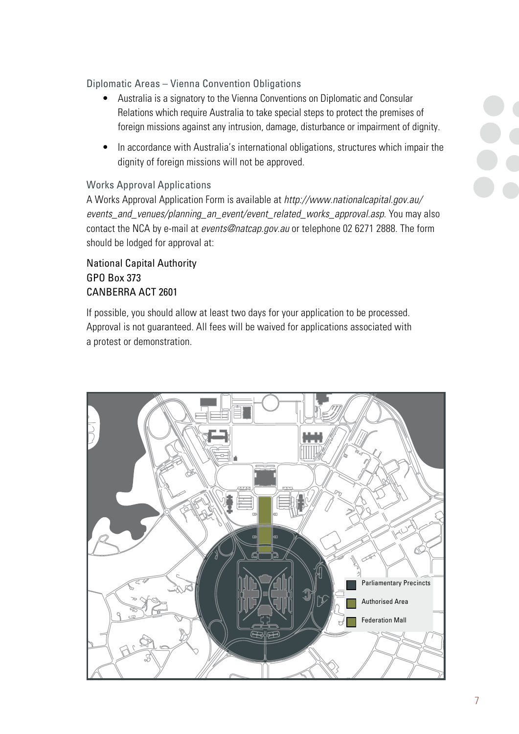#### Diplomatic Areas – Vienna Convention Obligations

- Australia is a signatory to the Vienna Conventions on Diplomatic and Consular Relations which require Australia to take special steps to protect the premises of foreign missions against any intrusion, damage, disturbance or impairment of dignity.
- In accordance with Australia's international obligations, structures which impair the dignity of foreign missions will not be approved.

#### Works Approval Applications

A Works Approval Application Form is available at *http://www.nationalcapital.gov.au/ events\_and\_venues/planning\_an\_event/event\_related\_works\_approval.asp*. You may also contact the NCA by e-mail at *events@natcap.gov.au* or telephone 02 6271 2888. The form should be lodged for approval at:

#### National Capital Authority GPO Box 373 CANBERRA ACT 2601

If possible, you should allow at least two days for your application to be processed. Approval is not guaranteed. All fees will be waived for applications associated with a protest or demonstration.

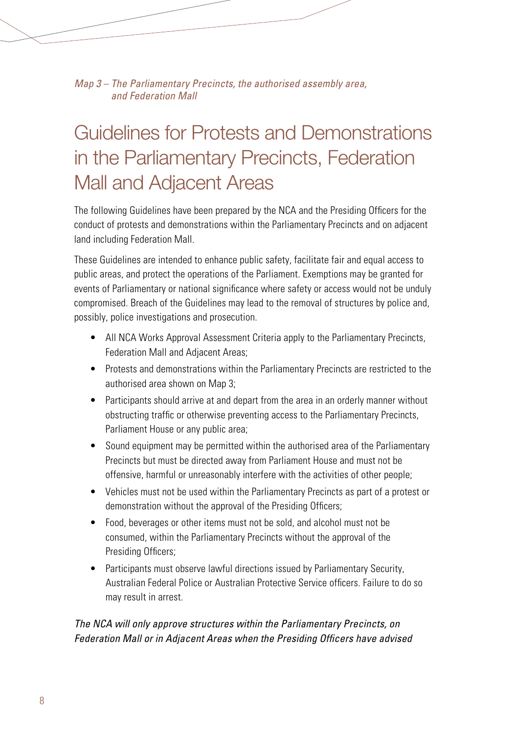*Map 3 – The Parliamentary Precincts, the authorised assembly area, and Federation Mall*

## Guidelines for Protests and Demonstrations in the Parliamentary Precincts, Federation Mall and Adjacent Areas

The following Guidelines have been prepared by the NCA and the Presiding Officers for the conduct of protests and demonstrations within the Parliamentary Precincts and on adjacent land including Federation Mall.

These Guidelines are intended to enhance public safety, facilitate fair and equal access to public areas, and protect the operations of the Parliament. Exemptions may be granted for events of Parliamentary or national significance where safety or access would not be unduly compromised. Breach of the Guidelines may lead to the removal of structures by police and, possibly, police investigations and prosecution.

- All NCA Works Approval Assessment Criteria apply to the Parliamentary Precincts, Federation Mall and Adjacent Areas;
- Protests and demonstrations within the Parliamentary Precincts are restricted to the authorised area shown on Map 3;
- Participants should arrive at and depart from the area in an orderly manner without obstructing traffic or otherwise preventing access to the Parliamentary Precincts, Parliament House or any public area;
- Sound equipment may be permitted within the authorised area of the Parliamentary Precincts but must be directed away from Parliament House and must not be offensive, harmful or unreasonably interfere with the activities of other people;
- Vehicles must not be used within the Parliamentary Precincts as part of a protest or demonstration without the approval of the Presiding Officers;
- Food, beverages or other items must not be sold, and alcohol must not be consumed, within the Parliamentary Precincts without the approval of the Presiding Officers;
- Participants must observe lawful directions issued by Parliamentary Security, Australian Federal Police or Australian Protective Service officers. Failure to do so may result in arrest.

### *The NCA will only approve structures within the Parliamentary Precincts, on Federation Mall or in Adjacent Areas when the Presiding Officers have advised*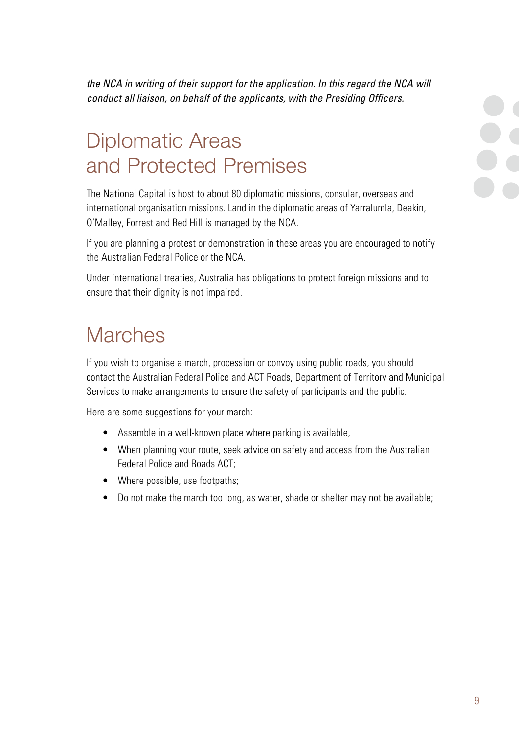*the NCA in writing of their support for the application. In this regard the NCA will conduct all liaison, on behalf of the applicants, with the Presiding Officers.*

## Diplomatic Areas and Protected Premises

The National Capital is host to about 80 diplomatic missions, consular, overseas and international organisation missions. Land in the diplomatic areas of Yarralumla, Deakin, O'Malley, Forrest and Red Hill is managed by the NCA.

If you are planning a protest or demonstration in these areas you are encouraged to notify the Australian Federal Police or the NCA.

Under international treaties, Australia has obligations to protect foreign missions and to ensure that their dignity is not impaired.

## **Marches**

If you wish to organise a march, procession or convoy using public roads, you should contact the Australian Federal Police and ACT Roads, Department of Territory and Municipal Services to make arrangements to ensure the safety of participants and the public.

Here are some suggestions for your march:

- Assemble in a well-known place where parking is available,
- When planning your route, seek advice on safety and access from the Australian Federal Police and Roads ACT;
- Where possible, use footpaths;
- Do not make the march too long, as water, shade or shelter may not be available;

888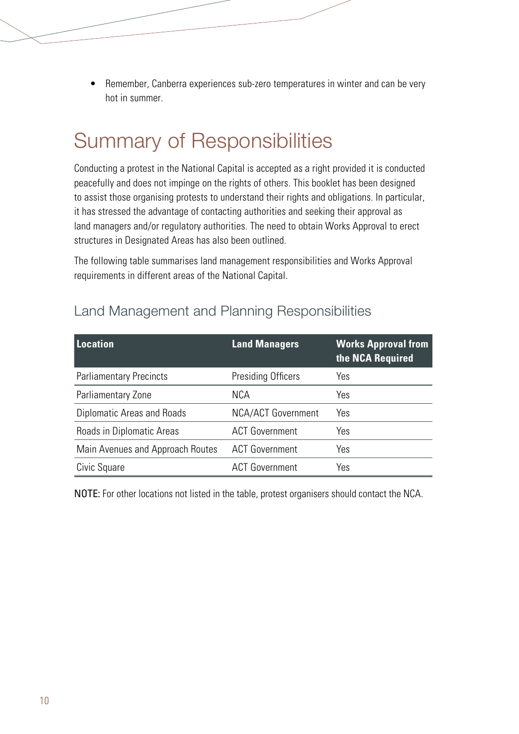Remember, Canberra experiences sub-zero temperatures in winter and can be very hot in summer.

## Summary of Responsibilities

Conducting a protest in the National Capital is accepted as a right provided it is conducted peacefully and does not impinge on the rights of others. This booklet has been designed to assist those organising protests to understand their rights and obligations. In particular, it has stressed the advantage of contacting authorities and seeking their approval as land managers and/or regulatory authorities. The need to obtain Works Approval to erect structures in Designated Areas has also been outlined.

The following table summarises land management responsibilities and Works Approval requirements in different areas of the National Capital.

| Location                         | <b>Land Managers</b>      | <b>Works Approval from</b><br>the NCA Required |
|----------------------------------|---------------------------|------------------------------------------------|
| <b>Parliamentary Precincts</b>   | <b>Presiding Officers</b> | Yes                                            |
| Parliamentary Zone               | <b>NCA</b>                | Yes                                            |
| Diplomatic Areas and Roads       | <b>NCA/ACT Government</b> | Yes                                            |
| Roads in Diplomatic Areas        | <b>ACT Government</b>     | Yes                                            |
| Main Avenues and Approach Routes | <b>ACT Government</b>     | Yes                                            |
| Civic Square                     | <b>ACT Government</b>     | Yes                                            |

## Land Management and Planning Responsibilities

NOTE: For other locations not listed in the table, protest organisers should contact the NCA.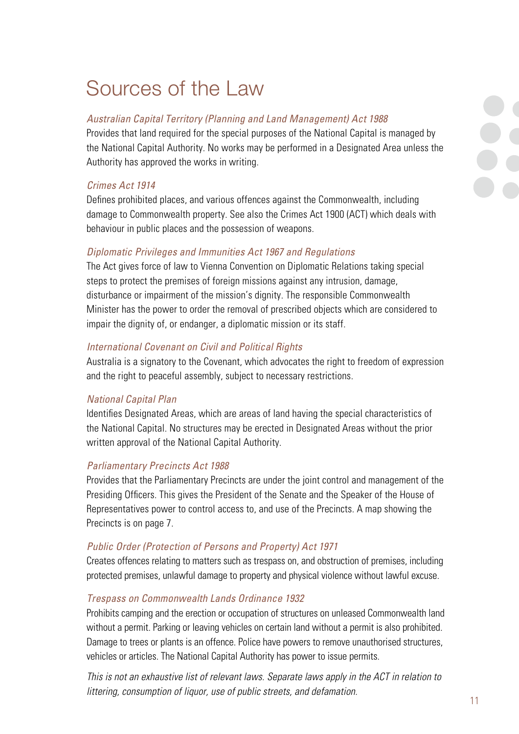# 8888

## Sources of the Law

#### *Australian Capital Territory (Planning and Land Management) Act 1988*

Provides that land required for the special purposes of the National Capital is managed by the National Capital Authority. No works may be performed in a Designated Area unless the Authority has approved the works in writing.

### *Crimes Act 1914*

Defines prohibited places, and various offences against the Commonwealth, including damage to Commonwealth property. See also the Crimes Act 1900 (ACT) which deals with behaviour in public places and the possession of weapons.

### *Diplomatic Privileges and Immunities Act 1967 and Regulations*

The Act gives force of law to Vienna Convention on Diplomatic Relations taking special steps to protect the premises of foreign missions against any intrusion, damage, disturbance or impairment of the mission's dignity. The responsible Commonwealth Minister has the power to order the removal of prescribed objects which are considered to impair the dignity of, or endanger, a diplomatic mission or its staff.

#### *International Covenant on Civil and Political Rights*

Australia is a signatory to the Covenant, which advocates the right to freedom of expression and the right to peaceful assembly, subject to necessary restrictions.

### *National Capital Plan*

Identifies Designated Areas, which are areas of land having the special characteristics of the National Capital. No structures may be erected in Designated Areas without the prior written approval of the National Capital Authority.

### *Parliamentary Precincts Act 1988*

Provides that the Parliamentary Precincts are under the joint control and management of the Presiding Officers. This gives the President of the Senate and the Speaker of the House of Representatives power to control access to, and use of the Precincts. A map showing the Precincts is on page 7.

### *Public Order (Protection of Persons and Property) Act 1971*

Creates offences relating to matters such as trespass on, and obstruction of premises, including protected premises, unlawful damage to property and physical violence without lawful excuse.

### *Trespass on Commonwealth Lands Ordinance 1932*

Prohibits camping and the erection or occupation of structures on unleased Commonwealth land without a permit. Parking or leaving vehicles on certain land without a permit is also prohibited. Damage to trees or plants is an offence. Police have powers to remove unauthorised structures, vehicles or articles. The National Capital Authority has power to issue permits.

*This is not an exhaustive list of relevant laws. Separate laws apply in the ACT in relation to littering, consumption of liquor, use of public streets, and defamation.*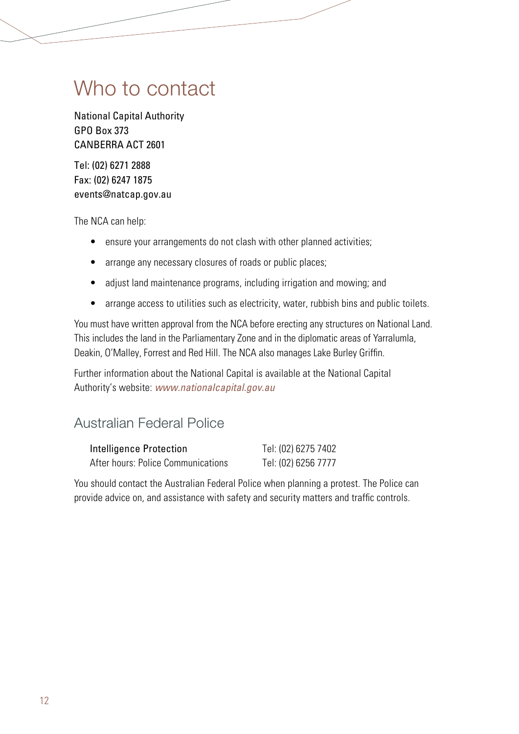## Who to contact

National Capital Authority GPO Box 373 CANBERRA ACT 2601

Tel: (02) 6271 2888 Fax: (02) 6247 1875 events@natcap.gov.au

The NCA can help:

- ensure your arrangements do not clash with other planned activities;
- arrange any necessary closures of roads or public places;
- adjust land maintenance programs, including irrigation and mowing; and
- arrange access to utilities such as electricity, water, rubbish bins and public toilets.

You must have written approval from the NCA before erecting any structures on National Land. This includes the land in the Parliamentary Zone and in the diplomatic areas of Yarralumla, Deakin, O'Malley, Forrest and Red Hill. The NCA also manages Lake Burley Griffin.

Further information about the National Capital is available at the National Capital Authority's website: *www.nationalcapital.gov.au*

## Australian Federal Police

| Intelligence Protection            | Tel: (02) 6275 7402 |
|------------------------------------|---------------------|
| After hours: Police Communications | Tel: (02) 6256 7777 |

You should contact the Australian Federal Police when planning a protest. The Police can provide advice on, and assistance with safety and security matters and traffic controls.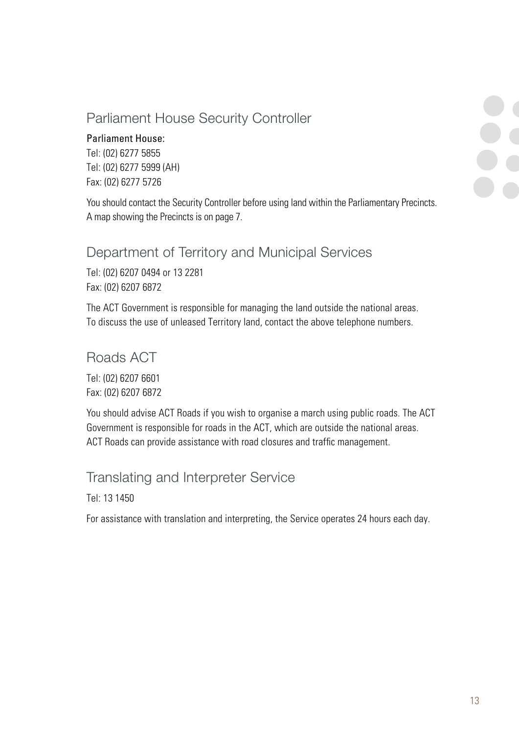## Parliament House Security Controller

#### Parliament House:

Tel: (02) 6277 5855 Tel: (02) 6277 5999 (AH) Fax: (02) 6277 5726

You should contact the Security Controller before using land within the Parliamentary Precincts. A map showing the Precincts is on page 7.

## Department of Territory and Municipal Services

Tel: (02) 6207 0494 or 13 2281 Fax: (02) 6207 6872

The ACT Government is responsible for managing the land outside the national areas. To discuss the use of unleased Territory land, contact the above telephone numbers.

## Roads ACT

Tel: (02) 6207 6601 Fax: (02) 6207 6872

You should advise ACT Roads if you wish to organise a march using public roads. The ACT Government is responsible for roads in the ACT, which are outside the national areas. ACT Roads can provide assistance with road closures and traffic management.

## Translating and Interpreter Service

Tel: 13 1450

For assistance with translation and interpreting, the Service operates 24 hours each day.

0000